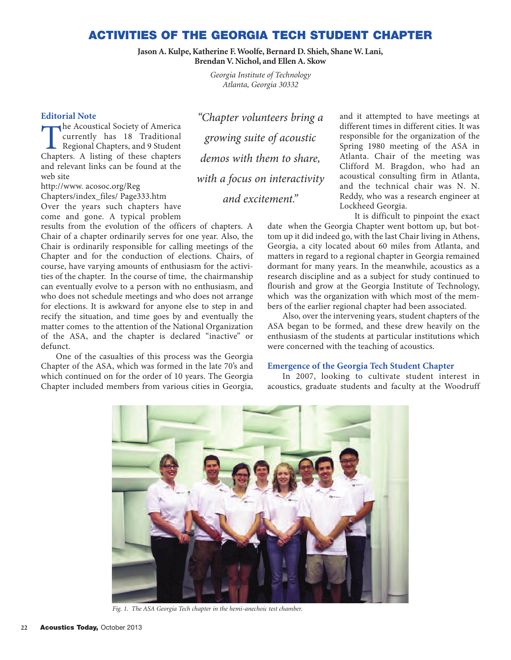## **ACTIVITIES OF THE GEORGIA TECH STUDENT CHAPTER**

**Jason A. Kulpe, Katherine F. Woolfe, Bernard D. Shieh, Shane W. Lani, Brendan V. Nichol, and Ellen A. Skow**

> *Georgia Institute of Technology Atlanta, Georgia 30332*

## **Editorial Note**

The Acoustical Society of America<br>
currently has 18 Traditional<br>
Regional Chapters, and 9 Student<br>
Chapters A listing of these chapters currently has 18 Traditional Regional Chapters, and 9 Student Chapters. A listing of these chapters and relevant links can be found at the web site

http://www. acosoc.org/Reg Chapters/index\_files/ Page333.htm Over the years such chapters have come and gone. A typical problem

results from the evolution of the officers of chapters. A Chair of a chapter ordinarily serves for one year. Also, the Chair is ordinarily responsible for calling meetings of the Chapter and for the conduction of elections. Chairs, of course, have varying amounts of enthusiasm for the activities of the chapter. In the course of time, the chairmanship can eventually evolve to a person with no enthusiasm, and who does not schedule meetings and who does not arrange for elections. It is awkward for anyone else to step in and recify the situation, and time goes by and eventually the matter comes to the attention of the National Organization of the ASA, and the chapter is declared "inactive" or defunct.

One of the casualties of this process was the Georgia Chapter of the ASA, which was formed in the late 70's and which continued on for the order of 10 years. The Georgia Chapter included members from various cities in Georgia,

*"Chapter volunteers bring a growing suite of acoustic demos with them to share, with a focus on interactivity and excitement."*

and it attempted to have meetings at different times in different cities. It was responsible for the organization of the Spring 1980 meeting of the ASA in Atlanta. Chair of the meeting was Clifford M. Bragdon, who had an acoustical consulting firm in Atlanta, and the technical chair was N. N. Reddy, who was a research engineer at Lockheed Georgia.

It is difficult to pinpoint the exact date when the Georgia Chapter went bottom up, but bottom up it did indeed go, with the last Chair living in Athens, Georgia, a city located about 60 miles from Atlanta, and matters in regard to a regional chapter in Georgia remained dormant for many years. In the meanwhile, acoustics as a research discipline and as a subject for study continued to flourish and grow at the Georgia Institute of Technology, which was the organization with which most of the members of the earlier regional chapter had been associated.

Also, over the intervening years, student chapters of the ASA began to be formed, and these drew heavily on the enthusiasm of the students at particular institutions which were concerned with the teaching of acoustics.

## **Emergence of the Georgia Tech Student Chapter**

In 2007, looking to cultivate student interest in acoustics, graduate students and faculty at the Woodruff



*Fig. 1. The ASA Georgia Tech chapter in the hemi-anechoic test chamber.*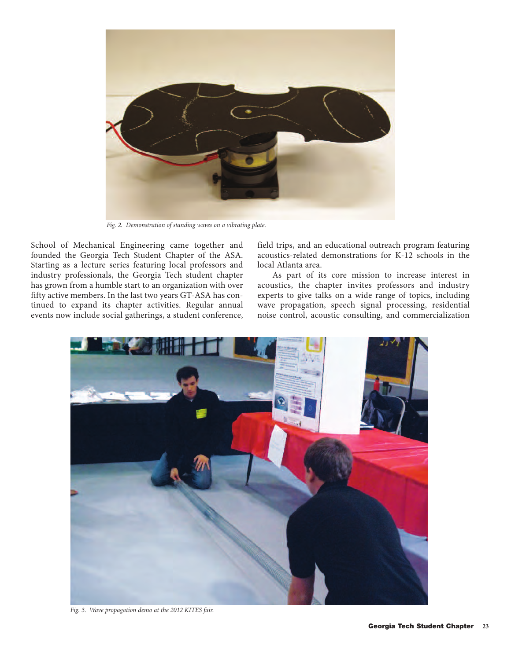

*Fig. 2. Demonstration of standing waves on a vibrating plate.*

School of Mechanical Engineering came together and founded the Georgia Tech Student Chapter of the ASA. Starting as a lecture series featuring local professors and industry professionals, the Georgia Tech student chapter has grown from a humble start to an organization with over fifty active members. In the last two years GT-ASA has continued to expand its chapter activities. Regular annual events now include social gatherings, a student conference,

field trips, and an educational outreach program featuring acoustics-related demonstrations for K-12 schools in the local Atlanta area.

As part of its core mission to increase interest in acoustics, the chapter invites professors and industry experts to give talks on a wide range of topics, including wave propagation, speech signal processing, residential noise control, acoustic consulting, and commercialization



*Fig. 3. Wave propagation demo at the 2012 KITES fair.*